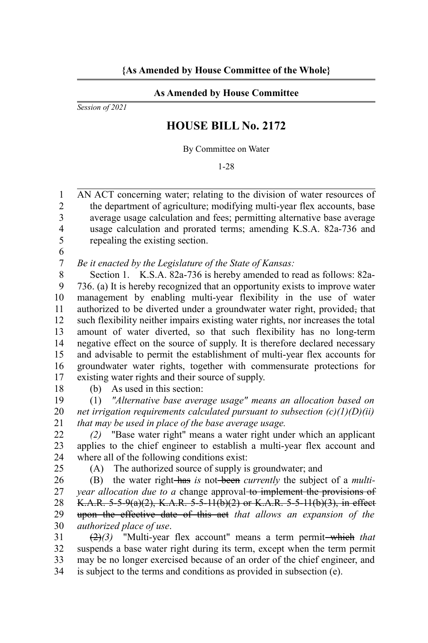## **As Amended by House Committee**

*Session of 2021*

## **HOUSE BILL No. 2172**

By Committee on Water

1-28

AN ACT concerning water; relating to the division of water resources of the department of agriculture; modifying multi-year flex accounts, base average usage calculation and fees; permitting alternative base average usage calculation and prorated terms; amending K.S.A. 82a-736 and repealing the existing section. 1  $\mathfrak{D}$ 3 4 5

6

*Be it enacted by the Legislature of the State of Kansas:* 7

Section 1. K.S.A. 82a-736 is hereby amended to read as follows: 82a-736. (a) It is hereby recognized that an opportunity exists to improve water management by enabling multi-year flexibility in the use of water authorized to be diverted under a groundwater water right, provided, that such flexibility neither impairs existing water rights, nor increases the total amount of water diverted, so that such flexibility has no long-term negative effect on the source of supply. It is therefore declared necessary and advisable to permit the establishment of multi-year flex accounts for groundwater water rights, together with commensurate protections for existing water rights and their source of supply. 8 9 10 11 12 13 14 15 16 17

18

(b) As used in this section:

(1) *"Alternative base average usage" means an allocation based on net irrigation requirements calculated pursuant to subsection (c)(1)(D)(ii) that may be used in place of the base average usage.* 19 20 21

*(2)* "Base water right" means a water right under which an applicant applies to the chief engineer to establish a multi-year flex account and where all of the following conditions exist: 22 23 24

25

(A) The authorized source of supply is groundwater; and

(B) the water right has *is* not been *currently* the subject of a *multiyear allocation due to a change approval* to implement the provisions of K.A.R. 5-5-9(a)(2), K.A.R. 5-5-11(b)(2) or K.A.R. 5-5-11(b)(3), in effect upon the effective date of this act *that allows an expansion of the authorized place of use*. 26 27 28 29 30

 $(2)(3)$  "Multi-year flex account" means a term permit-which that suspends a base water right during its term, except when the term permit may be no longer exercised because of an order of the chief engineer, and is subject to the terms and conditions as provided in subsection (e). 31 32 33 34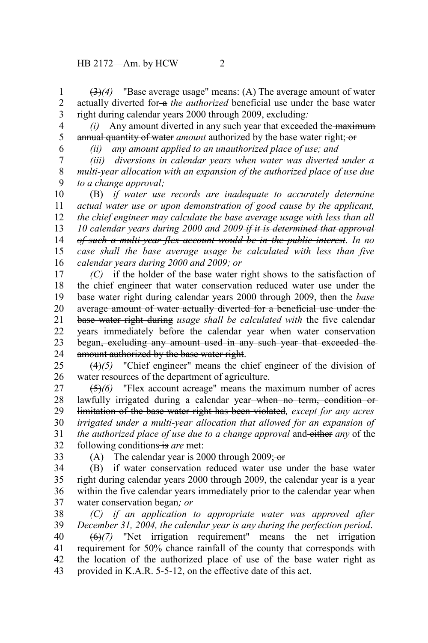(3)*(4)* "Base average usage" means: (A) The average amount of water actually diverted for a *the authorized* beneficial use under the base water right during calendar years 2000 through 2009, excluding*:* 1 2 3

*(i)* Any amount diverted in any such year that exceeded the maximum annual quantity of water *amount* authorized by the base water right; or 4 5

6

*(ii) any amount applied to an unauthorized place of use; and*

*(iii) diversions in calendar years when water was diverted under a multi-year allocation with an expansion of the authorized place of use due to a change approval;* 7 8 9

(B) *if water use records are inadequate to accurately determine actual water use or upon demonstration of good cause by the applicant, the chief engineer may calculate the base average usage with less than all 10 calendar years during 2000 and 2009 if it is determined that approval of such a multi-year flex account would be in the public interest. In no case shall the base average usage be calculated with less than five calendar years during 2000 and 2009; or* 10 11 12 13 14 15 16

*(C)* if the holder of the base water right shows to the satisfaction of the chief engineer that water conservation reduced water use under the base water right during calendar years 2000 through 2009, then the *base* average amount of water actually diverted for a beneficial use under the base water right during *usage shall be calculated with* the five calendar years immediately before the calendar year when water conservation began<del>, excluding any amount used in any such year that exceeded the</del> amount authorized by the base water right. 17 18 19 20 21 22 23 24

(4)*(5)* "Chief engineer" means the chief engineer of the division of water resources of the department of agriculture. 25 26

(5)*(6)* "Flex account acreage" means the maximum number of acres lawfully irrigated during a calendar year<del> when no term, condition or</del> limitation of the base water right has been violated*, except for any acres irrigated under a multi-year allocation that allowed for an expansion of the authorized place of use due to a change approval* and either *any* of the following conditions is are met: 27 28 29 30 31 32

33

(A) The calendar year is 2000 through 2009; $-\theta$ 

(B) if water conservation reduced water use under the base water right during calendar years 2000 through 2009, the calendar year is a year within the five calendar years immediately prior to the calendar year when water conservation began*; or* 34 35 36 37

*(C) if an application to appropriate water was approved after December 31, 2004, the calendar year is any during the perfection period*. 38 39

(6)*(7)* "Net irrigation requirement" means the net irrigation requirement for 50% chance rainfall of the county that corresponds with the location of the authorized place of use of the base water right as provided in K.A.R. 5-5-12, on the effective date of this act. 40 41 42 43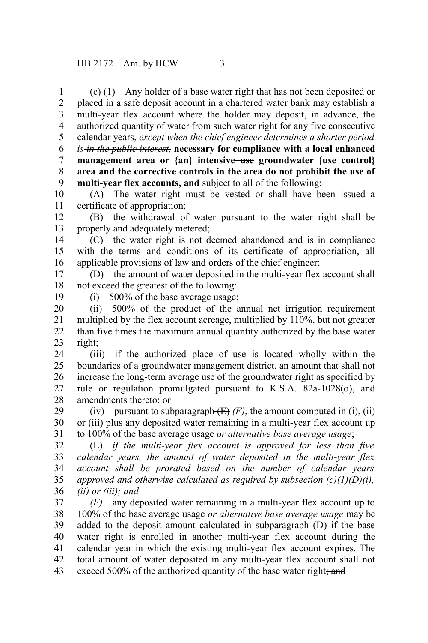(c) (1) Any holder of a base water right that has not been deposited or placed in a safe deposit account in a chartered water bank may establish a multi-year flex account where the holder may deposit, in advance, the authorized quantity of water from such water right for any five consecutive calendar years, *except when the chief engineer determines a shorter period is in the public interest,* **necessary for compliance with a local enhanced** management area or  $\{an\}$  intensive—use groundwater  $\{use control\}$ **area and the corrective controls in the area do not prohibit the use of multi-year flex accounts, and** subject to all of the following: 1 2 3 4 5 6 7 8 9

(A) The water right must be vested or shall have been issued a certificate of appropriation; 10 11

(B) the withdrawal of water pursuant to the water right shall be properly and adequately metered; 12 13

(C) the water right is not deemed abandoned and is in compliance with the terms and conditions of its certificate of appropriation, all applicable provisions of law and orders of the chief engineer; 14 15 16

(D) the amount of water deposited in the multi-year flex account shall not exceed the greatest of the following: 17 18

19

(i) 500% of the base average usage;

(ii) 500% of the product of the annual net irrigation requirement multiplied by the flex account acreage, multiplied by 110%, but not greater than five times the maximum annual quantity authorized by the base water right; 20 21 22 23

(iii) if the authorized place of use is located wholly within the boundaries of a groundwater management district, an amount that shall not increase the long-term average use of the groundwater right as specified by rule or regulation promulgated pursuant to K.S.A. 82a-1028(o), and amendments thereto; or 24 25 26 27 28

(iv) pursuant to subparagraph  $(E)$  (F), the amount computed in (i), (ii) or (iii) plus any deposited water remaining in a multi-year flex account up to 100% of the base average usage *or alternative base average usage*; 29 30 31

(E) *if the multi-year flex account is approved for less than five calendar years, the amount of water deposited in the multi-year flex account shall be prorated based on the number of calendar years approved and otherwise calculated as required by subsection (c)(1)(D)(i), (ii) or (iii); and* 32 33 34 35 36

*(F)* any deposited water remaining in a multi-year flex account up to 100% of the base average usage *or alternative base average usage* may be added to the deposit amount calculated in subparagraph (D) if the base water right is enrolled in another multi-year flex account during the calendar year in which the existing multi-year flex account expires. The total amount of water deposited in any multi-year flex account shall not exceed 500% of the authorized quantity of the base water right; and 37 38 39 40 41 42 43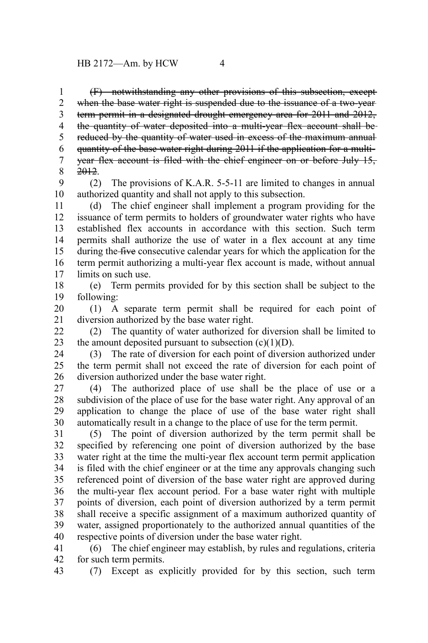(F) notwithstanding any other provisions of this subsection, except when the base water right is suspended due to the issuance of a two-year term permit in a designated drought emergency area for 2011 and 2012, the quantity of water deposited into a multi-year flex account shall be reduced by the quantity of water used in excess of the maximum annual quantity of the base water right during 2011 if the application for a multiyear flex account is filed with the chief engineer on or before July 15, 2012. 1 2 3 4 5 6 7 8

(2) The provisions of K.A.R. 5-5-11 are limited to changes in annual authorized quantity and shall not apply to this subsection. 9 10

(d) The chief engineer shall implement a program providing for the issuance of term permits to holders of groundwater water rights who have established flex accounts in accordance with this section. Such term permits shall authorize the use of water in a flex account at any time during the five consecutive calendar years for which the application for the term permit authorizing a multi-year flex account is made, without annual limits on such use. 11 12 13 14 15 16 17

(e) Term permits provided for by this section shall be subject to the following: 18 19

(1) A separate term permit shall be required for each point of diversion authorized by the base water right. 20 21

(2) The quantity of water authorized for diversion shall be limited to the amount deposited pursuant to subsection  $(c)(1)(D)$ . 22 23

(3) The rate of diversion for each point of diversion authorized under the term permit shall not exceed the rate of diversion for each point of diversion authorized under the base water right. 24 25 26

(4) The authorized place of use shall be the place of use or a subdivision of the place of use for the base water right. Any approval of an application to change the place of use of the base water right shall automatically result in a change to the place of use for the term permit. 27 28 29 30

(5) The point of diversion authorized by the term permit shall be specified by referencing one point of diversion authorized by the base water right at the time the multi-year flex account term permit application is filed with the chief engineer or at the time any approvals changing such referenced point of diversion of the base water right are approved during the multi-year flex account period. For a base water right with multiple points of diversion, each point of diversion authorized by a term permit shall receive a specific assignment of a maximum authorized quantity of water, assigned proportionately to the authorized annual quantities of the respective points of diversion under the base water right. 31 32 33 34 35 36 37 38 39 40

(6) The chief engineer may establish, by rules and regulations, criteria for such term permits. 41 42

(7) Except as explicitly provided for by this section, such term 43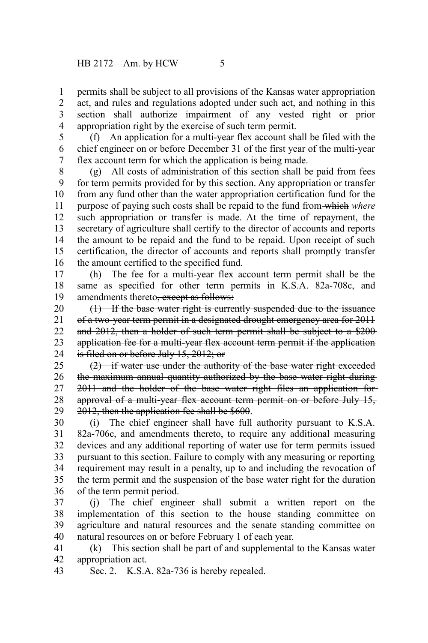permits shall be subject to all provisions of the Kansas water appropriation act, and rules and regulations adopted under such act, and nothing in this section shall authorize impairment of any vested right or prior appropriation right by the exercise of such term permit. 1 2 3 4

(f) An application for a multi-year flex account shall be filed with the chief engineer on or before December 31 of the first year of the multi-year flex account term for which the application is being made. 5 6 7

(g) All costs of administration of this section shall be paid from fees for term permits provided for by this section. Any appropriation or transfer from any fund other than the water appropriation certification fund for the purpose of paying such costs shall be repaid to the fund from which *where* such appropriation or transfer is made. At the time of repayment, the secretary of agriculture shall certify to the director of accounts and reports the amount to be repaid and the fund to be repaid. Upon receipt of such certification, the director of accounts and reports shall promptly transfer the amount certified to the specified fund. 8 9 10 11 12 13 14 15 16

(h) The fee for a multi-year flex account term permit shall be the same as specified for other term permits in K.S.A. 82a-708c, and amendments thereto<del>, except as follows:</del> 17 18 19

(1) If the base water right is currently suspended due to the issuance of a two-year term permit in a designated drought emergency area for 2011 and 2012, then a holder of such term permit shall be subject to a \$200 application fee for a multi-year flex account term permit if the application is filed on or before July 15, 2012; or 20 21 22 23 24

(2) if water use under the authority of the base water right exceeded the maximum annual quantity authorized by the base water right during 2011 and the holder of the base water right files an application for approval of a multi-year flex account term permit on or before July 15, 2012, then the application fee shall be \$600. 25 26 27 28 29

(i) The chief engineer shall have full authority pursuant to K.S.A. 82a-706c, and amendments thereto, to require any additional measuring devices and any additional reporting of water use for term permits issued pursuant to this section. Failure to comply with any measuring or reporting requirement may result in a penalty, up to and including the revocation of the term permit and the suspension of the base water right for the duration of the term permit period. 30 31 32 33 34 35 36

(j) The chief engineer shall submit a written report on the implementation of this section to the house standing committee on agriculture and natural resources and the senate standing committee on natural resources on or before February 1 of each year. 37 38 39 40

(k) This section shall be part of and supplemental to the Kansas water appropriation act. 41 42

Sec. 2. K.S.A. 82a-736 is hereby repealed. 43